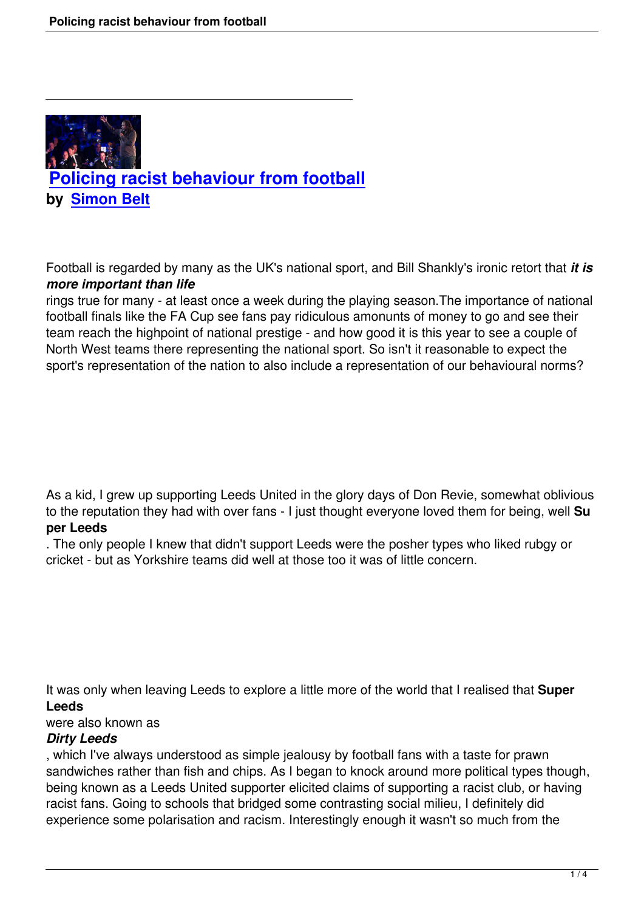

Football is regarded by many as the UK's national sport, and Bill Shankly's ironic retort that *it is more important than life*

rings true for many - at least once a week during the playing season.The importance of national football finals like the FA Cup see fans pay ridiculous amonunts of money to go and see their team reach the highpoint of national prestige - and how good it is this year to see a couple of North West teams there representing the national sport. So isn't it reasonable to expect the sport's representation of the nation to also include a representation of our behavioural norms?

As a kid, I grew up supporting Leeds United in the glory days of Don Revie, somewhat oblivious to the reputation they had with over fans - I just thought everyone loved them for being, well **Su per Leeds**

. The only people I knew that didn't support Leeds were the posher types who liked rubgy or cricket - but as Yorkshire teams did well at those too it was of little concern.

It was only when leaving Leeds to explore a little more of the world that I realised that **Super Leeds**

# were also known as

# *Dirty Leeds*

, which I've always understood as simple jealousy by football fans with a taste for prawn sandwiches rather than fish and chips. As I began to knock around more political types though, being known as a Leeds United supporter elicited claims of supporting a racist club, or having racist fans. Going to schools that bridged some contrasting social milieu, I definitely did experience some polarisation and racism. Interestingly enough it wasn't so much from the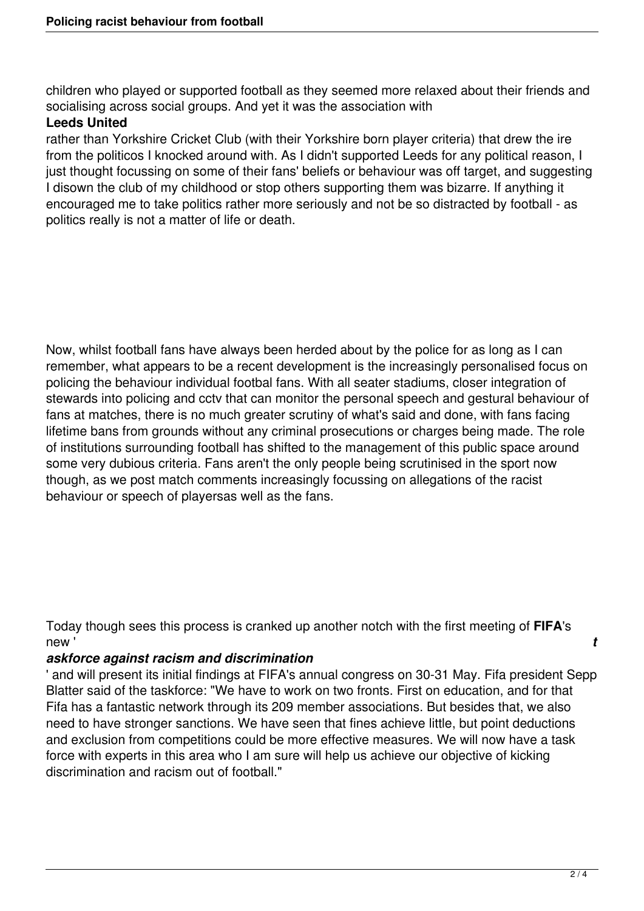children who played or supported football as they seemed more relaxed about their friends and socialising across social groups. And yet it was the association with

## **Leeds United**

rather than Yorkshire Cricket Club (with their Yorkshire born player criteria) that drew the ire from the politicos I knocked around with. As I didn't supported Leeds for any political reason, I just thought focussing on some of their fans' beliefs or behaviour was off target, and suggesting I disown the club of my childhood or stop others supporting them was bizarre. If anything it encouraged me to take politics rather more seriously and not be so distracted by football - as politics really is not a matter of life or death.

Now, whilst football fans have always been herded about by the police for as long as I can remember, what appears to be a recent development is the increasingly personalised focus on policing the behaviour individual footbal fans. With all seater stadiums, closer integration of stewards into policing and cctv that can monitor the personal speech and gestural behaviour of fans at matches, there is no much greater scrutiny of what's said and done, with fans facing lifetime bans from grounds without any criminal prosecutions or charges being made. The role of institutions surrounding football has shifted to the management of this public space around some very dubious criteria. Fans aren't the only people being scrutinised in the sport now though, as we post match comments increasingly focussing on allegations of the racist behaviour or speech of playersas well as the fans.

Today though sees this process is cranked up another notch with the first meeting of **FIFA**'s new ' *t*

### *askforce against racism and discrimination*

' and will present its initial findings at FIFA's annual congress on 30-31 May. Fifa president Sepp Blatter said of the taskforce: "We have to work on two fronts. First on education, and for that Fifa has a fantastic network through its 209 member associations. But besides that, we also need to have stronger sanctions. We have seen that fines achieve little, but point deductions and exclusion from competitions could be more effective measures. We will now have a task force with experts in this area who I am sure will help us achieve our objective of kicking discrimination and racism out of football."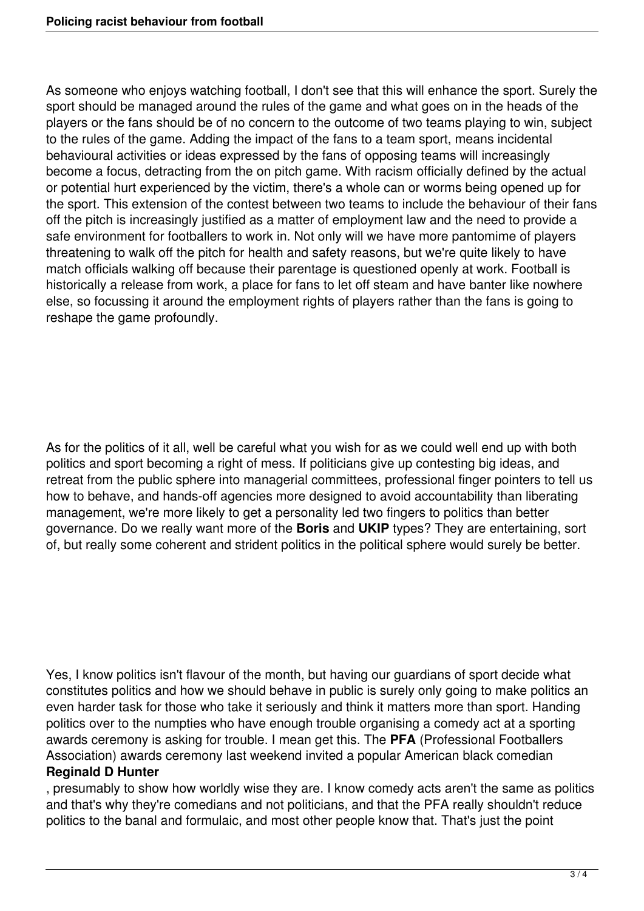As someone who enjoys watching football, I don't see that this will enhance the sport. Surely the sport should be managed around the rules of the game and what goes on in the heads of the players or the fans should be of no concern to the outcome of two teams playing to win, subject to the rules of the game. Adding the impact of the fans to a team sport, means incidental behavioural activities or ideas expressed by the fans of opposing teams will increasingly become a focus, detracting from the on pitch game. With racism officially defined by the actual or potential hurt experienced by the victim, there's a whole can or worms being opened up for the sport. This extension of the contest between two teams to include the behaviour of their fans off the pitch is increasingly justified as a matter of employment law and the need to provide a safe environment for footballers to work in. Not only will we have more pantomime of players threatening to walk off the pitch for health and safety reasons, but we're quite likely to have match officials walking off because their parentage is questioned openly at work. Football is historically a release from work, a place for fans to let off steam and have banter like nowhere else, so focussing it around the employment rights of players rather than the fans is going to reshape the game profoundly.

As for the politics of it all, well be careful what you wish for as we could well end up with both politics and sport becoming a right of mess. If politicians give up contesting big ideas, and retreat from the public sphere into managerial committees, professional finger pointers to tell us how to behave, and hands-off agencies more designed to avoid accountability than liberating management, we're more likely to get a personality led two fingers to politics than better governance. Do we really want more of the **Boris** and **UKIP** types? They are entertaining, sort of, but really some coherent and strident politics in the political sphere would surely be better.

Yes, I know politics isn't flavour of the month, but having our guardians of sport decide what constitutes politics and how we should behave in public is surely only going to make politics an even harder task for those who take it seriously and think it matters more than sport. Handing politics over to the numpties who have enough trouble organising a comedy act at a sporting awards ceremony is asking for trouble. I mean get this. The **PFA** (Professional Footballers Association) awards ceremony last weekend invited a popular American black comedian **Reginald D Hunter**

, presumably to show how worldly wise they are. I know comedy acts aren't the same as politics and that's why they're comedians and not politicians, and that the PFA really shouldn't reduce politics to the banal and formulaic, and most other people know that. That's just the point